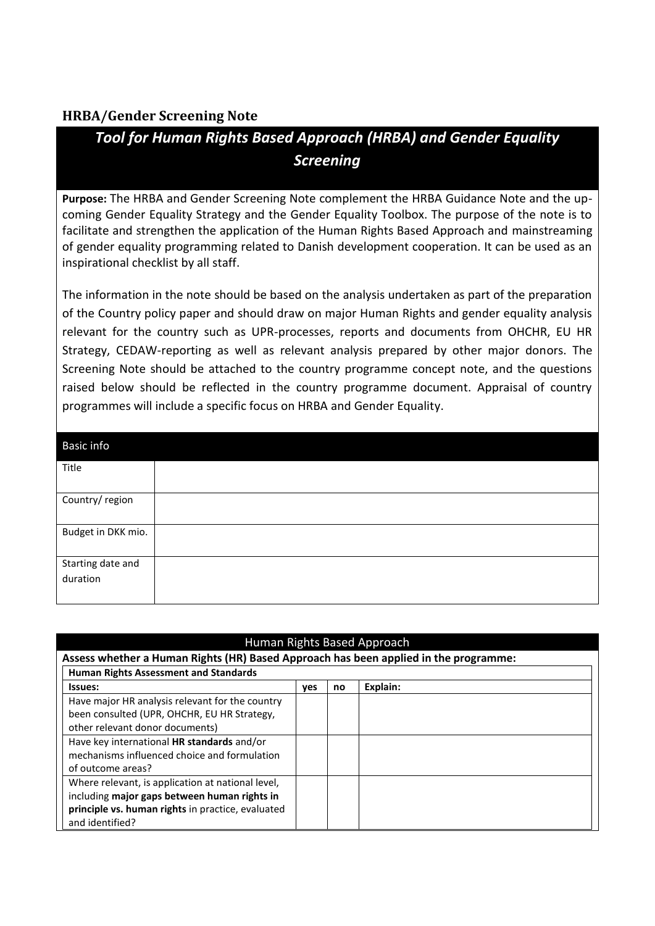## **HRBA/Gender Screening Note**

## *Tool for Human Rights Based Approach (HRBA) and Gender Equality Screening*

**Purpose:** The HRBA and Gender Screening Note complement the HRBA Guidance Note and the upcoming Gender Equality Strategy and the Gender Equality Toolbox. The purpose of the note is to facilitate and strengthen the application of the Human Rights Based Approach and mainstreaming of gender equality programming related to Danish development cooperation. It can be used as an inspirational checklist by all staff.

The information in the note should be based on the analysis undertaken as part of the preparation of the Country policy paper and should draw on major Human Rights and gender equality analysis relevant for the country such as UPR-processes, reports and documents from OHCHR, EU HR Strategy, CEDAW-reporting as well as relevant analysis prepared by other major donors. The Screening Note should be attached to the country programme concept note, and the questions raised below should be reflected in the country programme document. Appraisal of country programmes will include a specific focus on HRBA and Gender Equality.

| Human Rights Based Approach                                                                                                                                               |     |    |          |  |
|---------------------------------------------------------------------------------------------------------------------------------------------------------------------------|-----|----|----------|--|
| Assess whether a Human Rights (HR) Based Approach has been applied in the programme:                                                                                      |     |    |          |  |
| <b>Human Rights Assessment and Standards</b>                                                                                                                              |     |    |          |  |
| <b>Issues:</b>                                                                                                                                                            | ves | no | Explain: |  |
| Have major HR analysis relevant for the country<br>been consulted (UPR, OHCHR, EU HR Strategy,<br>other relevant donor documents)                                         |     |    |          |  |
| Have key international HR standards and/or<br>mechanisms influenced choice and formulation<br>of outcome areas?                                                           |     |    |          |  |
| Where relevant, is application at national level,<br>including major gaps between human rights in<br>principle vs. human rights in practice, evaluated<br>and identified? |     |    |          |  |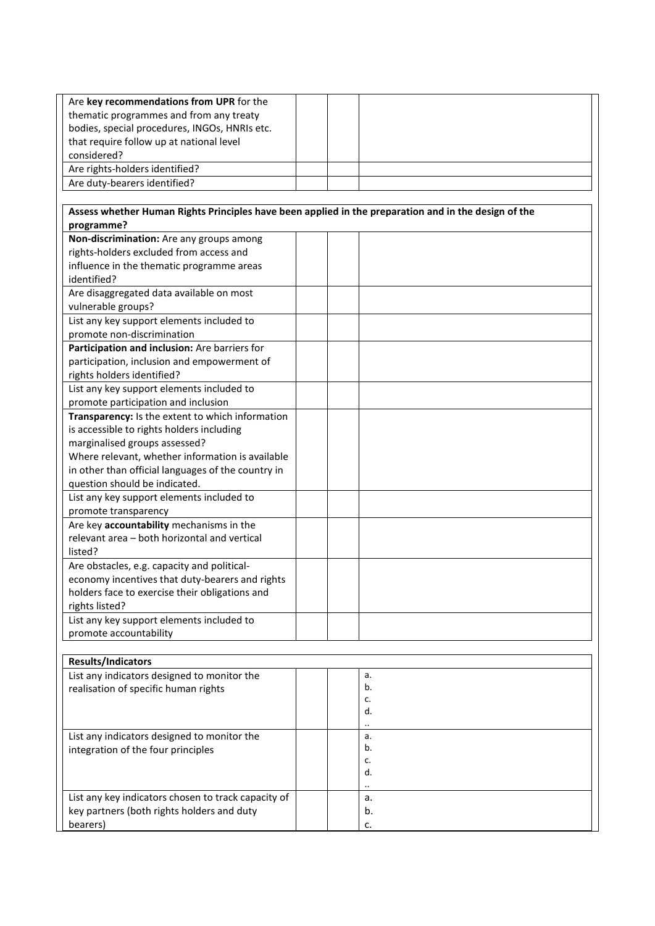| Are key recommendations from UPR for the                                                             |  |           |
|------------------------------------------------------------------------------------------------------|--|-----------|
| thematic programmes and from any treaty                                                              |  |           |
| bodies, special procedures, INGOs, HNRIs etc.                                                        |  |           |
| that require follow up at national level                                                             |  |           |
| considered?                                                                                          |  |           |
| Are rights-holders identified?                                                                       |  |           |
| Are duty-bearers identified?                                                                         |  |           |
|                                                                                                      |  |           |
| Assess whether Human Rights Principles have been applied in the preparation and in the design of the |  |           |
| programme?                                                                                           |  |           |
| Non-discrimination: Are any groups among                                                             |  |           |
| rights-holders excluded from access and                                                              |  |           |
| influence in the thematic programme areas                                                            |  |           |
| identified?                                                                                          |  |           |
| Are disaggregated data available on most                                                             |  |           |
| vulnerable groups?                                                                                   |  |           |
| List any key support elements included to                                                            |  |           |
| promote non-discrimination                                                                           |  |           |
| Participation and inclusion: Are barriers for                                                        |  |           |
| participation, inclusion and empowerment of                                                          |  |           |
| rights holders identified?                                                                           |  |           |
| List any key support elements included to                                                            |  |           |
| promote participation and inclusion                                                                  |  |           |
| Transparency: Is the extent to which information                                                     |  |           |
| is accessible to rights holders including                                                            |  |           |
| marginalised groups assessed?                                                                        |  |           |
| Where relevant, whether information is available                                                     |  |           |
| in other than official languages of the country in                                                   |  |           |
| question should be indicated.                                                                        |  |           |
| List any key support elements included to                                                            |  |           |
| promote transparency                                                                                 |  |           |
| Are key accountability mechanisms in the                                                             |  |           |
| relevant area - both horizontal and vertical                                                         |  |           |
| listed?                                                                                              |  |           |
| Are obstacles, e.g. capacity and political-                                                          |  |           |
| economy incentives that duty-bearers and rights                                                      |  |           |
|                                                                                                      |  |           |
| holders face to exercise their obligations and                                                       |  |           |
| rights listed?                                                                                       |  |           |
| List any key support elements included to                                                            |  |           |
| promote accountability                                                                               |  |           |
|                                                                                                      |  |           |
| Results/Indicators                                                                                   |  |           |
| List any indicators designed to monitor the                                                          |  | a.        |
| realisation of specific human rights                                                                 |  | b.<br>c.  |
|                                                                                                      |  | d.        |
|                                                                                                      |  |           |
| List any indicators designed to monitor the                                                          |  | a.        |
| integration of the four principles                                                                   |  | b.        |
|                                                                                                      |  | c.        |
|                                                                                                      |  | d.        |
|                                                                                                      |  | $\ddotsc$ |
| List any key indicators chosen to track capacity of                                                  |  | a.        |
| key partners (both rights holders and duty                                                           |  | b.        |
| bearers)                                                                                             |  | c.        |